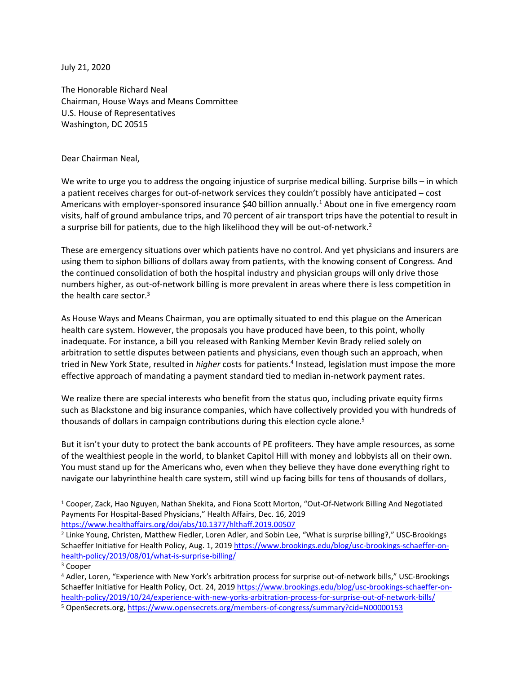July 21, 2020

The Honorable Richard Neal Chairman, House Ways and Means Committee U.S. House of Representatives Washington, DC 20515

Dear Chairman Neal,

We write to urge you to address the ongoing injustice of surprise medical billing. Surprise bills – in which a patient receives charges for out-of-network services they couldn't possibly have anticipated – cost Americans with employer-sponsored insurance \$40 billion annually.<sup>1</sup> About one in five emergency room visits, half of ground ambulance trips, and 70 percent of air transport trips have the potential to result in a surprise bill for patients, due to the high likelihood they will be out-of-network.<sup>2</sup>

These are emergency situations over which patients have no control. And yet physicians and insurers are using them to siphon billions of dollars away from patients, with the knowing consent of Congress. And the continued consolidation of both the hospital industry and physician groups will only drive those numbers higher, as out-of-network billing is more prevalent in areas where there is less competition in the health care sector. 3

As House Ways and Means Chairman, you are optimally situated to end this plague on the American health care system. However, the proposals you have produced have been, to this point, wholly inadequate. For instance, a bill you released with Ranking Member Kevin Brady relied solely on arbitration to settle disputes between patients and physicians, even though such an approach, when tried in New York State, resulted in *higher* costs for patients.<sup>4</sup> Instead, legislation must impose the more effective approach of mandating a payment standard tied to median in-network payment rates.

We realize there are special interests who benefit from the status quo, including private equity firms such as Blackstone and big insurance companies, which have collectively provided you with hundreds of thousands of dollars in campaign contributions during this election cycle alone.<sup>5</sup>

But it isn't your duty to protect the bank accounts of PE profiteers. They have ample resources, as some of the wealthiest people in the world, to blanket Capitol Hill with money and lobbyists all on their own. You must stand up for the Americans who, even when they believe they have done everything right to navigate our labyrinthine health care system, still wind up facing bills for tens of thousands of dollars,

<sup>1</sup> Cooper, Zack, Hao Nguyen, Nathan Shekita, and Fiona Scott Morton, "Out-Of-Network Billing And Negotiated Payments For Hospital-Based Physicians," Health Affairs, Dec. 16, 2019 <https://www.healthaffairs.org/doi/abs/10.1377/hlthaff.2019.00507>

<sup>2</sup> Linke Young, Christen, Matthew Fiedler, Loren Adler, and Sobin Lee, "What is surprise billing?," USC-Brookings Schaeffer Initiative for Health Policy, Aug. 1, 2019 [https://www.brookings.edu/blog/usc-brookings-schaeffer-on](https://www.brookings.edu/blog/usc-brookings-schaeffer-on-health-policy/2019/08/01/what-is-surprise-billing/)[health-policy/2019/08/01/what-is-surprise-billing/](https://www.brookings.edu/blog/usc-brookings-schaeffer-on-health-policy/2019/08/01/what-is-surprise-billing/)

<sup>&</sup>lt;sup>3</sup> Cooper

<sup>4</sup> Adler, Loren, "Experience with New York's arbitration process for surprise out-of-network bills," USC-Brookings Schaeffer Initiative for Health Policy, Oct. 24, 201[9 https://www.brookings.edu/blog/usc-brookings-schaeffer-on](https://www.brookings.edu/blog/usc-brookings-schaeffer-on-health-policy/2019/10/24/experience-with-new-yorks-arbitration-process-for-surprise-out-of-network-bills/)[health-policy/2019/10/24/experience-with-new-yorks-arbitration-process-for-surprise-out-of-network-bills/](https://www.brookings.edu/blog/usc-brookings-schaeffer-on-health-policy/2019/10/24/experience-with-new-yorks-arbitration-process-for-surprise-out-of-network-bills/)

<sup>5</sup> OpenSecrets.org,<https://www.opensecrets.org/members-of-congress/summary?cid=N00000153>